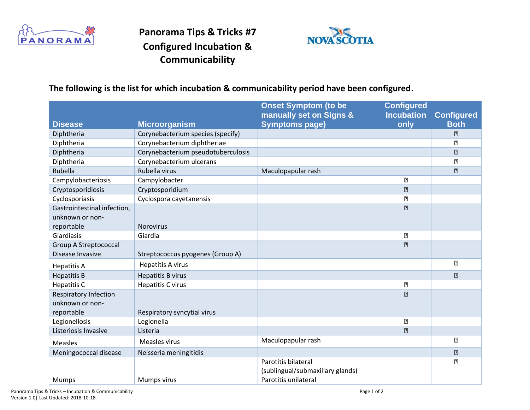

## **Panorama Tips & Tricks #7 Configured Incubation & Communicability**



## **The following is the list for which incubation & communicability period have been configured.**

|                              |                                    | <b>Onset Symptom (to be</b>      | <b>Configured</b> |                   |
|------------------------------|------------------------------------|----------------------------------|-------------------|-------------------|
|                              |                                    | manually set on Signs &          | <b>Incubation</b> | <b>Configured</b> |
| <b>Disease</b>               | <b>Microorganism</b>               | <b>Symptoms page)</b>            | only              | <b>Both</b>       |
| Diphtheria                   | Corynebacterium species (specify)  |                                  |                   | [?]               |
| Diphtheria                   | Corynebacterium diphtheriae        |                                  |                   | ?                 |
| Diphtheria                   | Corynebacterium pseudotuberculosis |                                  |                   | [?]               |
| Diphtheria                   | Corynebacterium ulcerans           |                                  |                   | $\overline{2}$    |
| Rubella                      | Rubella virus                      | Maculopapular rash               |                   | $\boxed{2}$       |
| Campylobacteriosis           | Campylobacter                      |                                  | $\boxed{?}$       |                   |
| Cryptosporidiosis            | Cryptosporidium                    |                                  | $\boxed{?}$       |                   |
| Cyclosporiasis               | Cyclospora cayetanensis            |                                  | $\overline{2}$    |                   |
| Gastrointestinal infection,  |                                    |                                  | $\boxed{2}$       |                   |
| unknown or non-              |                                    |                                  |                   |                   |
| reportable                   | <b>Norovirus</b>                   |                                  |                   |                   |
| Giardiasis                   | Giardia                            |                                  | $\boxed{?}$       |                   |
| <b>Group A Streptococcal</b> |                                    |                                  | $\overline{2}$    |                   |
| Disease Invasive             | Streptococcus pyogenes (Group A)   |                                  |                   |                   |
| <b>Hepatitis A</b>           | <b>Hepatitis A virus</b>           |                                  |                   | 卪                 |
| <b>Hepatitis B</b>           | <b>Hepatitis B virus</b>           |                                  |                   | $\overline{2}$    |
| <b>Hepatitis C</b>           | Hepatitis C virus                  |                                  | $\overline{2}$    |                   |
| <b>Respiratory Infection</b> |                                    |                                  | $\boxed{?}$       |                   |
| unknown or non-              |                                    |                                  |                   |                   |
| reportable                   | Respiratory syncytial virus        |                                  |                   |                   |
| Legionellosis                | Legionella                         |                                  | $\boxed{2}$       |                   |
| Listeriosis Invasive         | Listeria                           |                                  | $\boxed{?}$       |                   |
| <b>Measles</b>               | Measles virus                      | Maculopapular rash               |                   | $\overline{2}$    |
| Meningococcal disease        | Neisseria meningitidis             |                                  |                   | $\boxed{?}$       |
|                              |                                    | Parotitis bilateral              |                   | $\overline{2}$    |
|                              |                                    | (sublingual/submaxillary glands) |                   |                   |
| Mumps                        | Mumps virus                        | Parotitis unilateral             |                   |                   |